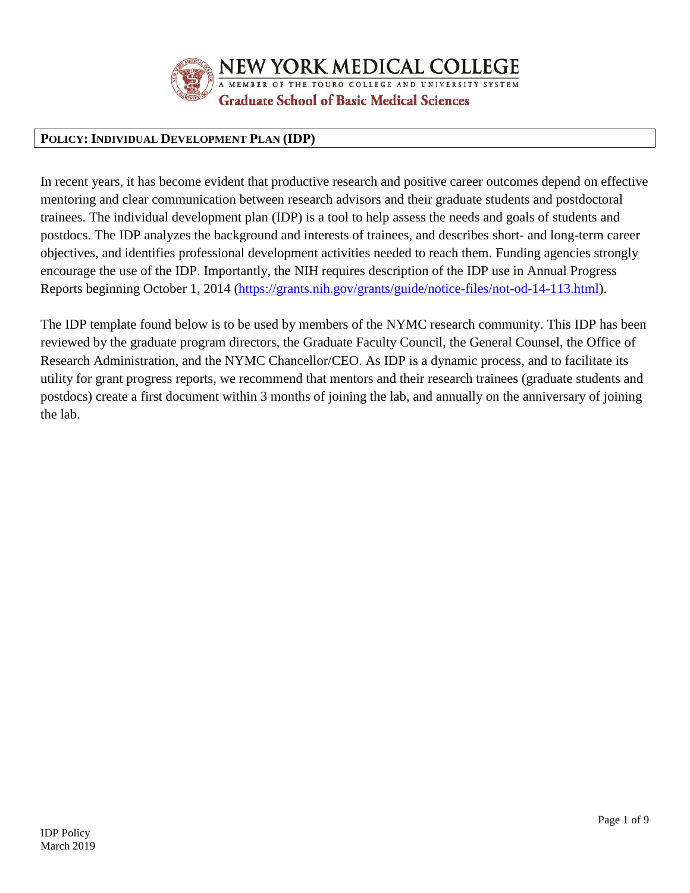

NEW YORK MEDICAL COLLEGE

MEMBER OF THE TOURO COLLEGE AND UNIVERSITY SYSTEM

**Graduate School of Basic Medical Sciences** 

## **POLICY: INDIVIDUAL DEVELOPMENT PLAN (IDP)**

In recent years, it has become evident that productive research and positive career outcomes depend on effective mentoring and clear communication between research advisors and their graduate students and postdoctoral trainees. The individual development plan (IDP) is a tool to help assess the needs and goals of students and postdocs. The IDP analyzes the background and interests of trainees, and describes short- and long-term career objectives, and identifies professional development activities needed to reach them. Funding agencies strongly encourage the use of the IDP. Importantly, the NIH requires description of the IDP use in Annual Progress Reports beginning October 1, 2014 [\(https://grants.nih.gov/grants/guide/notice-files/not-od-14-113.html\)](https://grants.nih.gov/grants/guide/notice-files/not-od-14-113.html).

The IDP template found below is to be used by members of the NYMC research community. This IDP has been reviewed by the graduate program directors, the Graduate Faculty Council, the General Counsel, the Office of Research Administration, and the NYMC Chancellor/CEO. As IDP is a dynamic process, and to facilitate its utility for grant progress reports, we recommend that mentors and their research trainees (graduate students and postdocs) create a first document within 3 months of joining the lab, and annually on the anniversary of joining the lab.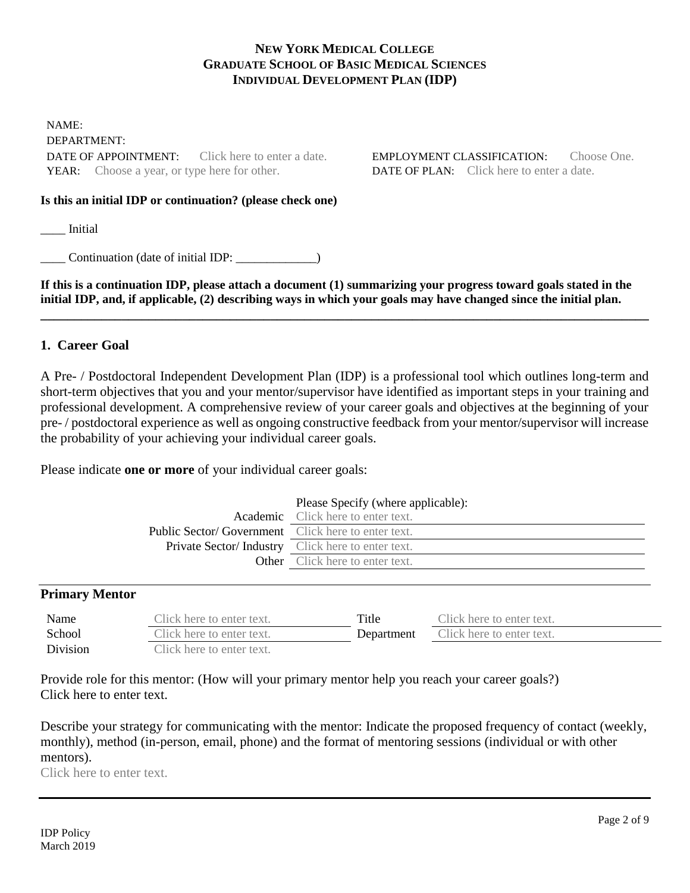#### **NEW YORK MEDICAL COLLEGE GRADUATE SCHOOL OF BASIC MEDICAL SCIENCES INDIVIDUAL DEVELOPMENT PLAN (IDP)**

NAME: DEPARTMENT: DATE OF APPOINTMENT: Click here to enter a date. EMPLOYMENT CLASSIFICATION: Choose One. YEAR: Choose a year, or type here for other. DATE OF PLAN: Click here to enter a date.

#### **Is this an initial IDP or continuation? (please check one)**

\_\_\_\_ Initial

\_\_\_\_ Continuation (date of initial IDP: \_\_\_\_\_\_\_\_\_\_\_\_\_)

**If this is a continuation IDP, please attach a document (1) summarizing your progress toward goals stated in the initial IDP, and, if applicable, (2) describing ways in which your goals may have changed since the initial plan. \_\_\_\_\_\_\_\_\_\_\_\_\_\_\_\_\_\_\_\_\_\_\_\_\_\_\_\_\_\_\_\_\_\_\_\_\_\_\_\_\_\_\_\_\_\_\_\_\_\_\_\_\_\_\_\_\_\_\_\_\_\_\_\_\_\_\_\_\_\_\_\_\_\_\_\_\_\_\_\_\_\_\_\_\_\_\_\_\_\_**

#### **1. Career Goal**

A Pre- / Postdoctoral Independent Development Plan (IDP) is a professional tool which outlines long-term and short-term objectives that you and your mentor/supervisor have identified as important steps in your training and professional development. A comprehensive review of your career goals and objectives at the beginning of your pre- / postdoctoral experience as well as ongoing constructive feedback from your mentor/supervisor will increase the probability of your achieving your individual career goals.

Please indicate **one or more** of your individual career goals:

|                                                           | Please Specify (where applicable):        |
|-----------------------------------------------------------|-------------------------------------------|
|                                                           | <b>Academic</b> Click here to enter text. |
| <b>Public Sector/Government</b> Click here to enter text. |                                           |
| <b>Private Sector/Industry</b> Click here to enter text.  |                                           |
|                                                           | <b>Other</b> Click here to enter text.    |
|                                                           |                                           |

#### **Primary Mentor**

| Name     | Click here to enter text. | Title      | Click here to enter text. |
|----------|---------------------------|------------|---------------------------|
| School   | Click here to enter text. | Department | Click here to enter text. |
| Division | Click here to enter text. |            |                           |

Provide role for this mentor: (How will your primary mentor help you reach your career goals?) Click here to enter text.

Describe your strategy for communicating with the mentor: Indicate the proposed frequency of contact (weekly, monthly), method (in-person, email, phone) and the format of mentoring sessions (individual or with other mentors).

Click here to enter text.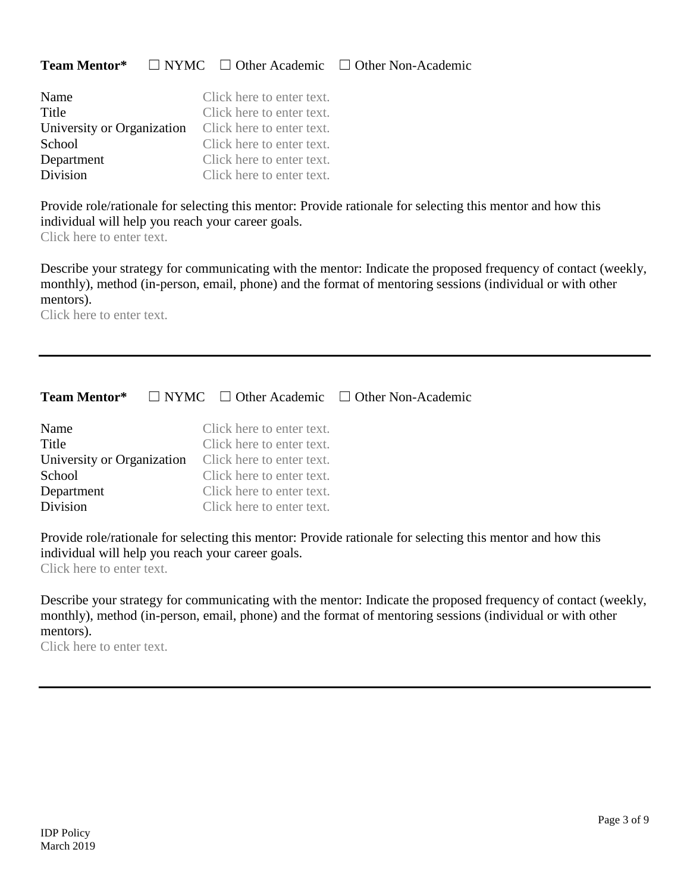### **Team Mentor\*** ☐ NYMC ☐ Other Academic ☐ Other Non-Academic

| Name                       | Click here to enter text. |
|----------------------------|---------------------------|
| Title                      | Click here to enter text. |
| University or Organization | Click here to enter text. |
| School                     | Click here to enter text. |
| Department                 | Click here to enter text. |
| Division                   | Click here to enter text. |

Provide role/rationale for selecting this mentor: Provide rationale for selecting this mentor and how this individual will help you reach your career goals.

Click here to enter text.

Describe your strategy for communicating with the mentor: Indicate the proposed frequency of contact (weekly, monthly), method (in-person, email, phone) and the format of mentoring sessions (individual or with other mentors).

Click here to enter text.

|                                                   |                                                                                                                                                                                                       | <b>Team Mentor*</b> $\Box$ NYMC $\Box$ Other Academic $\Box$ Other Non-Academic |
|---------------------------------------------------|-------------------------------------------------------------------------------------------------------------------------------------------------------------------------------------------------------|---------------------------------------------------------------------------------|
| Name<br>Title<br>School<br>Department<br>Division | Click here to enter text.<br>Click here to enter text.<br>University or Organization Click here to enter text.<br>Click here to enter text.<br>Click here to enter text.<br>Click here to enter text. |                                                                                 |
|                                                   |                                                                                                                                                                                                       |                                                                                 |

Provide role/rationale for selecting this mentor: Provide rationale for selecting this mentor and how this individual will help you reach your career goals.

Click here to enter text.

Describe your strategy for communicating with the mentor: Indicate the proposed frequency of contact (weekly, monthly), method (in-person, email, phone) and the format of mentoring sessions (individual or with other mentors).

Click here to enter text.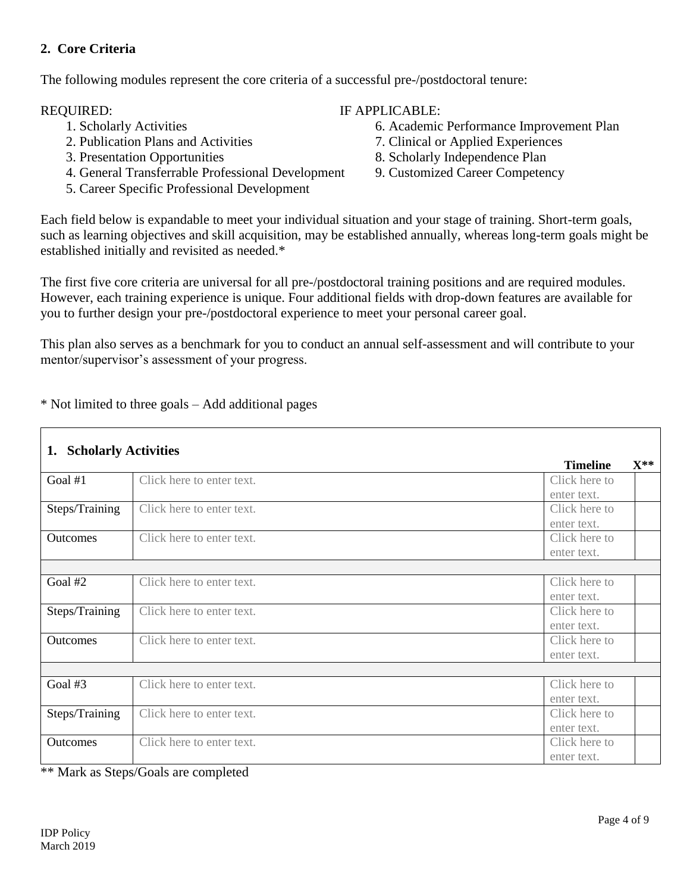## **2. Core Criteria**

The following modules represent the core criteria of a successful pre-/postdoctoral tenure:

- 
- 2. Publication Plans and Activities 7. Clinical or Applied Experiences
- 
- 4. General Transferrable Professional Development 9. Customized Career Competency
- 5. Career Specific Professional Development

# REQUIRED: IF APPLICABLE:

- 1. Scholarly Activities 6. Academic Performance Improvement Plan
	-
- 3. Presentation Opportunities 8. Scholarly Independence Plan
	-

Each field below is expandable to meet your individual situation and your stage of training. Short-term goals, such as learning objectives and skill acquisition, may be established annually, whereas long-term goals might be established initially and revisited as needed.\*

The first five core criteria are universal for all pre-/postdoctoral training positions and are required modules. However, each training experience is unique. Four additional fields with drop-down features are available for you to further design your pre-/postdoctoral experience to meet your personal career goal.

This plan also serves as a benchmark for you to conduct an annual self-assessment and will contribute to your mentor/supervisor's assessment of your progress.

\* Not limited to three goals – Add additional pages

| <b>Scholarly Activities</b><br>1. |                           |                 |          |
|-----------------------------------|---------------------------|-----------------|----------|
|                                   |                           | <b>Timeline</b> | $X^{**}$ |
| Goal #1                           | Click here to enter text. | Click here to   |          |
|                                   |                           | enter text.     |          |
| Steps/Training                    | Click here to enter text. | Click here to   |          |
|                                   |                           | enter text.     |          |
| <b>Outcomes</b>                   | Click here to enter text. | Click here to   |          |
|                                   |                           | enter text.     |          |
|                                   |                           |                 |          |
| Goal #2                           | Click here to enter text. | Click here to   |          |
|                                   |                           | enter text.     |          |
| Steps/Training                    | Click here to enter text. | Click here to   |          |
|                                   |                           | enter text.     |          |
| <b>Outcomes</b>                   | Click here to enter text. | Click here to   |          |
|                                   |                           | enter text.     |          |
|                                   |                           |                 |          |
| Goal $#3$                         | Click here to enter text. | Click here to   |          |
|                                   |                           | enter text.     |          |
| Steps/Training                    | Click here to enter text. | Click here to   |          |
|                                   |                           | enter text.     |          |
| Outcomes                          | Click here to enter text. | Click here to   |          |
|                                   |                           | enter text.     |          |

\*\* Mark as Steps/Goals are completed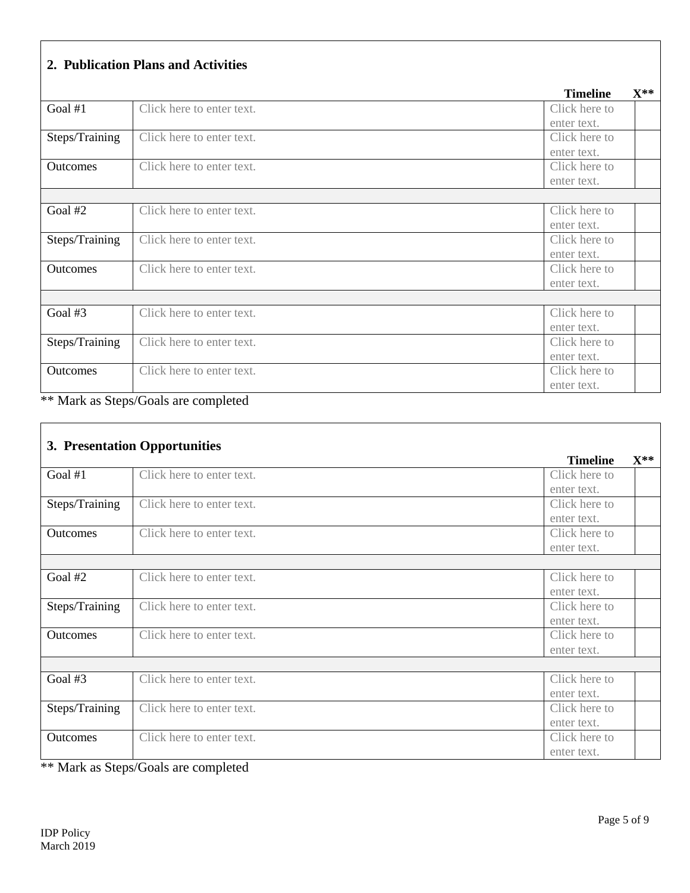| 2. Publication Plans and Activities |  |  |
|-------------------------------------|--|--|
|                                     |  |  |

|                 |                           | <b>Timeline</b> | $X^{**}$ |
|-----------------|---------------------------|-----------------|----------|
| Goal $#1$       | Click here to enter text. | Click here to   |          |
|                 |                           | enter text.     |          |
| Steps/Training  | Click here to enter text. | Click here to   |          |
|                 |                           | enter text.     |          |
| <b>Outcomes</b> | Click here to enter text. | Click here to   |          |
|                 |                           | enter text.     |          |
|                 |                           |                 |          |
| Goal #2         | Click here to enter text. | Click here to   |          |
|                 |                           | enter text.     |          |
| Steps/Training  | Click here to enter text. | Click here to   |          |
|                 |                           | enter text.     |          |
| Outcomes        | Click here to enter text. | Click here to   |          |
|                 |                           | enter text.     |          |
|                 |                           |                 |          |
| Goal #3         | Click here to enter text. | Click here to   |          |
|                 |                           | enter text.     |          |
| Steps/Training  | Click here to enter text. | Click here to   |          |
|                 |                           | enter text.     |          |
| <b>Outcomes</b> | Click here to enter text. | Click here to   |          |
|                 |                           | enter text.     |          |

|                 | 3. Presentation Opportunities |                 |          |
|-----------------|-------------------------------|-----------------|----------|
|                 |                               | <b>Timeline</b> | $X^{**}$ |
| Goal $#1$       | Click here to enter text.     | Click here to   |          |
|                 |                               | enter text.     |          |
| Steps/Training  | Click here to enter text.     | Click here to   |          |
|                 |                               | enter text.     |          |
| Outcomes        | Click here to enter text.     | Click here to   |          |
|                 |                               | enter text.     |          |
|                 |                               |                 |          |
| Goal #2         | Click here to enter text.     | Click here to   |          |
|                 |                               | enter text.     |          |
| Steps/Training  | Click here to enter text.     | Click here to   |          |
|                 |                               | enter text.     |          |
| <b>Outcomes</b> | Click here to enter text.     | Click here to   |          |
|                 |                               | enter text.     |          |
|                 |                               |                 |          |
| Goal #3         | Click here to enter text.     | Click here to   |          |
|                 |                               | enter text.     |          |
| Steps/Training  | Click here to enter text.     | Click here to   |          |
|                 |                               | enter text.     |          |
| Outcomes        | Click here to enter text.     | Click here to   |          |
|                 |                               | enter text.     |          |

\*\* Mark as Steps/Goals are completed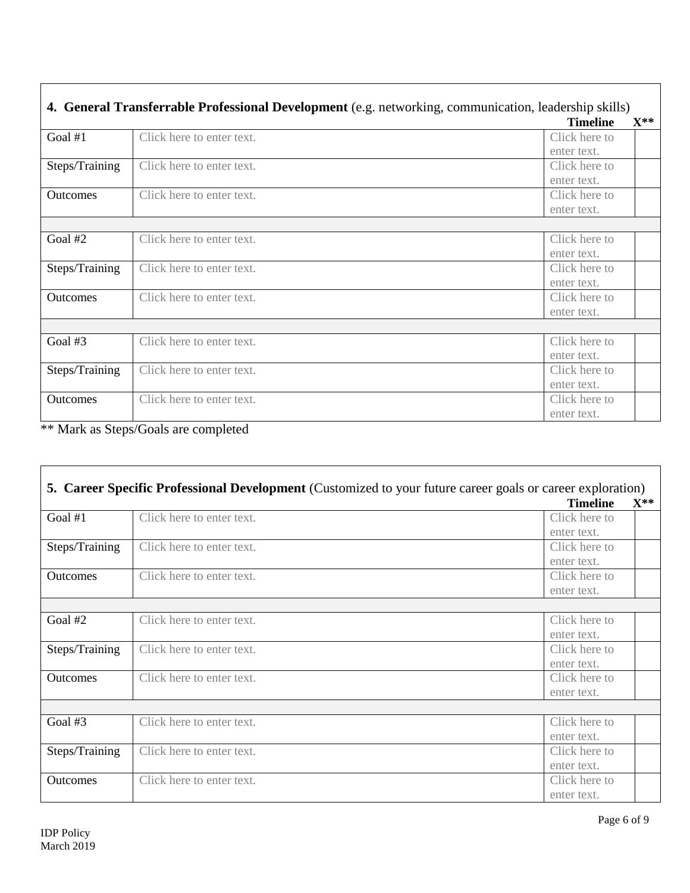|                 |                           | <b>Timeline</b> | $\mathbf{X}^{**}$ |
|-----------------|---------------------------|-----------------|-------------------|
| Goal $#1$       | Click here to enter text. | Click here to   |                   |
|                 |                           | enter text.     |                   |
| Steps/Training  | Click here to enter text. | Click here to   |                   |
|                 |                           | enter text.     |                   |
| <b>Outcomes</b> | Click here to enter text. | Click here to   |                   |
|                 |                           | enter text.     |                   |
|                 |                           |                 |                   |
| Goal #2         | Click here to enter text. | Click here to   |                   |
|                 |                           | enter text.     |                   |
| Steps/Training  | Click here to enter text. | Click here to   |                   |
|                 |                           | enter text.     |                   |
| Outcomes        | Click here to enter text. | Click here to   |                   |
|                 |                           | enter text.     |                   |
|                 |                           |                 |                   |
| Goal #3         | Click here to enter text. | Click here to   |                   |
|                 |                           | enter text.     |                   |
| Steps/Training  | Click here to enter text. | Click here to   |                   |
|                 |                           | enter text.     |                   |
| <b>Outcomes</b> | Click here to enter text. | Click here to   |                   |
|                 |                           | enter text.     |                   |

 $\Gamma$ 

|                 | <b>5. Career Specific Professional Development</b> (Customized to your future career goals or career exploration) |                 |                   |
|-----------------|-------------------------------------------------------------------------------------------------------------------|-----------------|-------------------|
|                 |                                                                                                                   | <b>Timeline</b> | $\mathbf{X}^{**}$ |
| Goal $#1$       | Click here to enter text.                                                                                         | Click here to   |                   |
|                 |                                                                                                                   | enter text.     |                   |
| Steps/Training  | Click here to enter text.                                                                                         | Click here to   |                   |
|                 |                                                                                                                   | enter text.     |                   |
| <b>Outcomes</b> | Click here to enter text.                                                                                         | Click here to   |                   |
|                 |                                                                                                                   | enter text.     |                   |
|                 |                                                                                                                   |                 |                   |
| Goal #2         | Click here to enter text.                                                                                         | Click here to   |                   |
|                 |                                                                                                                   | enter text.     |                   |
| Steps/Training  | Click here to enter text.                                                                                         | Click here to   |                   |
|                 |                                                                                                                   | enter text.     |                   |
| <b>Outcomes</b> | Click here to enter text.                                                                                         | Click here to   |                   |
|                 |                                                                                                                   | enter text.     |                   |
|                 |                                                                                                                   |                 |                   |
| Goal $#3$       | Click here to enter text.                                                                                         | Click here to   |                   |
|                 |                                                                                                                   | enter text.     |                   |
| Steps/Training  | Click here to enter text.                                                                                         | Click here to   |                   |
|                 |                                                                                                                   | enter text.     |                   |
| Outcomes        | Click here to enter text.                                                                                         | Click here to   |                   |
|                 |                                                                                                                   | enter text.     |                   |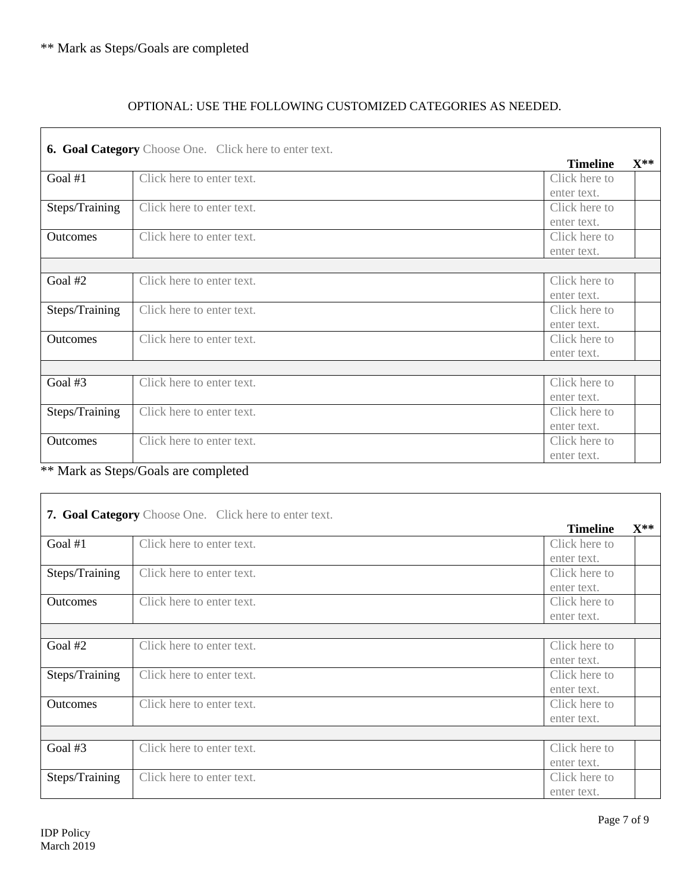## OPTIONAL: USE THE FOLLOWING CUSTOMIZED CATEGORIES AS NEEDED.

|                 | <b>6. Goal Category</b> Choose One. Click here to enter text. |                 |          |
|-----------------|---------------------------------------------------------------|-----------------|----------|
|                 |                                                               | <b>Timeline</b> | $X^{**}$ |
| Goal $#1$       | Click here to enter text.                                     | Click here to   |          |
|                 |                                                               | enter text.     |          |
| Steps/Training  | Click here to enter text.                                     | Click here to   |          |
|                 |                                                               | enter text.     |          |
| <b>Outcomes</b> | Click here to enter text.                                     | Click here to   |          |
|                 |                                                               | enter text.     |          |
|                 |                                                               |                 |          |
| Goal $#2$       | Click here to enter text.                                     | Click here to   |          |
|                 |                                                               | enter text.     |          |
| Steps/Training  | Click here to enter text.                                     | Click here to   |          |
|                 |                                                               | enter text.     |          |
| Outcomes        | Click here to enter text.                                     | Click here to   |          |
|                 |                                                               | enter text.     |          |
|                 |                                                               |                 |          |
| Goal $#3$       | Click here to enter text.                                     | Click here to   |          |
|                 |                                                               | enter text.     |          |
| Steps/Training  | Click here to enter text.                                     | Click here to   |          |
|                 |                                                               | enter text.     |          |
| Outcomes        | Click here to enter text.                                     | Click here to   |          |
|                 |                                                               | enter text.     |          |

\*\* Mark as Steps/Goals are completed

|                 | 7. Goal Category Choose One. Click here to enter text. | <b>Timeline</b> | $\mathbf{X}^{**}$ |
|-----------------|--------------------------------------------------------|-----------------|-------------------|
| Goal #1         | Click here to enter text.                              | Click here to   |                   |
|                 |                                                        | enter text.     |                   |
| Steps/Training  | Click here to enter text.                              | Click here to   |                   |
|                 |                                                        | enter text.     |                   |
| <b>Outcomes</b> | Click here to enter text.                              | Click here to   |                   |
|                 |                                                        | enter text.     |                   |
|                 |                                                        |                 |                   |
| Goal #2         | Click here to enter text.                              | Click here to   |                   |
|                 |                                                        | enter text.     |                   |
| Steps/Training  | Click here to enter text.                              | Click here to   |                   |
|                 |                                                        | enter text.     |                   |
| <b>Outcomes</b> | Click here to enter text.                              | Click here to   |                   |
|                 |                                                        | enter text.     |                   |
|                 |                                                        |                 |                   |
| Goal #3         | Click here to enter text.                              | Click here to   |                   |
|                 |                                                        | enter text.     |                   |
| Steps/Training  | Click here to enter text.                              | Click here to   |                   |
|                 |                                                        | enter text.     |                   |

 $\overline{\phantom{a}}$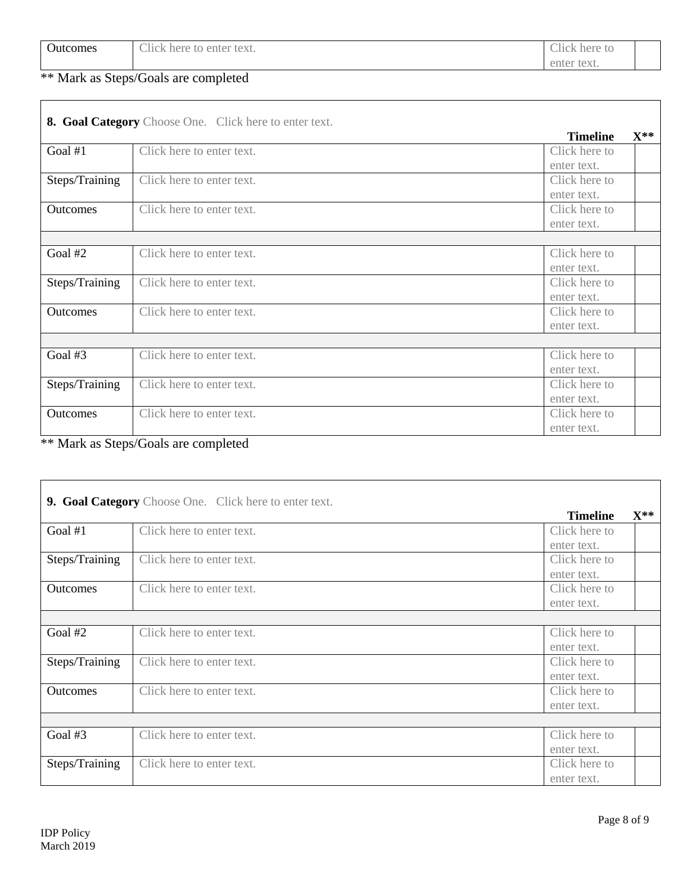| $\sqrt{2}$<br><b>Outcomes</b> | $\sim$ 1.1<br>enter text.<br>:11CK<br>here<br>to<br>◡ | $\sim$ 1.1 $\sim$<br>Click.<br>here<br>-lG |  |
|-------------------------------|-------------------------------------------------------|--------------------------------------------|--|
|                               |                                                       | enter text.                                |  |

|                 | 8. Goal Category Choose One. Click here to enter text. |                 |                   |
|-----------------|--------------------------------------------------------|-----------------|-------------------|
|                 |                                                        | <b>Timeline</b> | $\mathbf{X}^{**}$ |
| Goal $#1$       | Click here to enter text.                              | Click here to   |                   |
|                 |                                                        | enter text.     |                   |
| Steps/Training  | Click here to enter text.                              | Click here to   |                   |
|                 |                                                        | enter text.     |                   |
| <b>Outcomes</b> | Click here to enter text.                              | Click here to   |                   |
|                 |                                                        | enter text.     |                   |
|                 |                                                        |                 |                   |
| Goal #2         | Click here to enter text.                              | Click here to   |                   |
|                 |                                                        | enter text.     |                   |
| Steps/Training  | Click here to enter text.                              | Click here to   |                   |
|                 |                                                        | enter text.     |                   |
| Outcomes        | Click here to enter text.                              | Click here to   |                   |
|                 |                                                        | enter text.     |                   |
|                 |                                                        |                 |                   |
| Goal #3         | Click here to enter text.                              | Click here to   |                   |
|                 |                                                        | enter text.     |                   |
| Steps/Training  | Click here to enter text.                              | Click here to   |                   |
|                 |                                                        | enter text.     |                   |
| Outcomes        | Click here to enter text.                              | Click here to   |                   |
|                 |                                                        | enter text.     |                   |

\*\* Mark as Steps/Goals are completed

|                 | 9. Goal Category Choose One. Click here to enter text. |                 |          |
|-----------------|--------------------------------------------------------|-----------------|----------|
|                 |                                                        | <b>Timeline</b> | $X^{**}$ |
| Goal $#1$       | Click here to enter text.                              | Click here to   |          |
|                 |                                                        | enter text.     |          |
| Steps/Training  | Click here to enter text.                              | Click here to   |          |
|                 |                                                        | enter text.     |          |
| <b>Outcomes</b> | Click here to enter text.                              | Click here to   |          |
|                 |                                                        | enter text.     |          |
|                 |                                                        |                 |          |
| Goal #2         | Click here to enter text.                              | Click here to   |          |
|                 |                                                        | enter text.     |          |
| Steps/Training  | Click here to enter text.                              | Click here to   |          |
|                 |                                                        | enter text.     |          |
| <b>Outcomes</b> | Click here to enter text.                              | Click here to   |          |
|                 |                                                        | enter text.     |          |
|                 |                                                        |                 |          |
| Goal #3         | Click here to enter text.                              | Click here to   |          |
|                 |                                                        | enter text.     |          |
| Steps/Training  | Click here to enter text.                              | Click here to   |          |
|                 |                                                        | enter text.     |          |

 $\overline{\phantom{a}}$